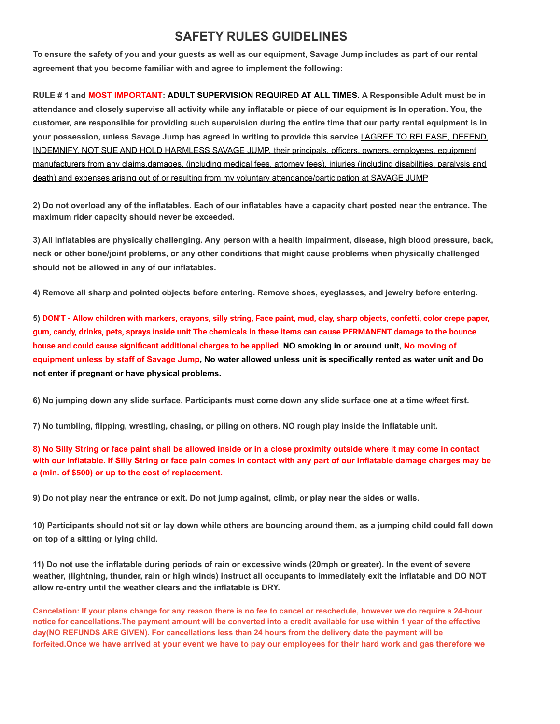## **SAFETY RULES GUIDELINES**

**To ensure the safety of you and your guests as well as our equipment, Savage Jump includes as part of our rental agreement that you become familiar with and agree to implement the following:**

**RULE # 1 and MOST IMPORTANT: ADULT SUPERVISION REQUIRED AT ALL TIMES. A Responsible Adult must be in attendance and closely supervise all activity while any inflatable or piece of our equipment is In operation. You, the customer, are responsible for providing such supervision during the entire time that our party rental equipment is in your possession, unless Savage Jump has agreed in writing to provide this service** I AGREE TO RELEASE, DEFEND, INDEMNIFY, NOT SUE AND HOLD HARMLESS SAVAGE JUMP, their principals, officers, owners, employees, equipment manufacturers from any claims,damages, (including medical fees, attorney fees), injuries (including disabilities, paralysis and death) and expenses arising out of or resulting from my voluntary attendance/participation at SAVAGE JUMP

**2) Do not overload any of the inflatables. Each of our inflatables have a capacity chart posted near the entrance. The maximum rider capacity should never be exceeded.**

**3) All Inflatables are physically challenging. Any person with a health impairment, disease, high blood pressure, back, neck or other bone/joint problems, or any other conditions that might cause problems when physically challenged should not be allowed in any of our inflatables.**

**4) Remove all sharp and pointed objects before entering. Remove shoes, eyeglasses, and jewelry before entering.**

**5) DON'T - Allow children with markers, crayons, silly string, Face paint, mud, clay, sharp objects, confetti, color crepe paper, gum, candy, drinks, pets, sprays inside unit The chemicals in these items can cause PERMANENT damage to the bounce house and could cause significant additional charges to be applied**. **NO smoking in or around unit, No moving of** equipment unless by staff of Savage Jump, No water allowed unless unit is specifically rented as water unit and Do **not enter if pregnant or have physical problems.**

**6) No jumping down any slide surface. Participants must come down any slide surface one at a time w/feet first.**

**7) No tumbling, flipping, wrestling, chasing, or piling on others. NO rough play inside the inflatable unit.**

**8) No Silly String or face paint shall be allowed inside or in a close proximity outside where it may come in contact with our inflatable. If Silly String or face pain comes in contact with any part of our inflatable damage charges may be a (min. of \$500) or up to the cost of replacement.**

**9) Do not play near the entrance or exit. Do not jump against, climb, or play near the sides or walls.**

**10) Participants should not sit or lay down while others are bouncing around them, as a jumping child could fall down on top of a sitting or lying child.**

**11) Do not use the inflatable during periods of rain or excessive winds (20mph or greater). In the event of severe weather, (lightning, thunder, rain or high winds) instruct all occupants to immediately exit the inflatable and DO NOT allow re-entry until the weather clears and the inflatable is DRY.**

Cancelation: If your plans change for any reason there is no fee to cancel or reschedule, however we do require a 24-hour notice for cancellations. The payment amount will be converted into a credit available for use within 1 year of the effective day(NO REFUNDS ARE GIVEN). For cancellations less than 24 hours from the delivery date the payment will be **forfeited.Once we have arrived at your event we have to pay our employees for their hard work and gas therefore we**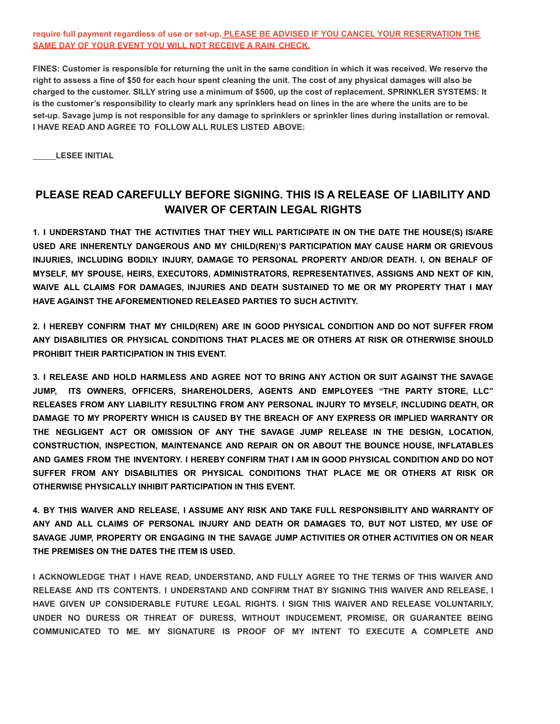**require full payment regardless of use or set-up. PLEASE BE ADVISED IF YOU CANCEL YOUR RESERVATION THE SAME DAY OF YOUR EVENT YOU WILL NOT RECEIVE A RAIN CHECK.**

**FINES: Customer is responsible for returning the unit in the same condition in which it was received. We reserve the right to assess a fine of \$50 for each hour spent cleaning the unit. The cost of any physical damages will also be charged to the customer. SILLY string use a minimum of \$500, up the cost of replacement. SPRINKLER SYSTEMS: It is the customer's responsibility to clearly mark any sprinklers head on lines in the are where the units are to be set-up. Savage jump is not responsible for any damage to sprinklers or sprinkler lines during installation or removal. I HAVE READ AND AGREE TO FOLLOW ALL RULES LISTED ABOVE:**

**LESEE INITIAL**

## **PLEASE READ CAREFULLY BEFORE SIGNING. THIS IS A RELEASE OF LIABILITY AND WAIVER OF CERTAIN LEGAL RIGHTS**

**1. I UNDERSTAND THAT THE ACTIVITIES THAT THEY WILL PARTICIPATE IN ON THE DATE THE HOUSE(S) IS/ARE USED ARE INHERENTLY DANGEROUS AND MY CHILD(REN)'S PARTICIPATION MAY CAUSE HARM OR GRIEVOUS INJURIES, INCLUDING BODILY INJURY, DAMAGE TO PERSONAL PROPERTY AND/OR DEATH. I, ON BEHALF OF MYSELF, MY SPOUSE, HEIRS, EXECUTORS, ADMINISTRATORS, REPRESENTATIVES, ASSIGNS AND NEXT OF KIN, WAIVE ALL CLAIMS FOR DAMAGES, INJURIES AND DEATH SUSTAINED TO ME OR MY PROPERTY THAT I MAY HAVE AGAINST THE AFOREMENTIONED RELEASED PARTIES TO SUCH ACTIVITY.**

**2. I HEREBY CONFIRM THAT MY CHILD(REN) ARE IN GOOD PHYSICAL CONDITION AND DO NOT SUFFER FROM ANY DISABILITIES OR PHYSICAL CONDITIONS THAT PLACES ME OR OTHERS AT RISK OR OTHERWISE SHOULD PROHIBIT THEIR PARTICIPATION IN THIS EVENT.**

**3. I RELEASE AND HOLD HARMLESS AND AGREE NOT TO BRING ANY ACTION OR SUIT AGAINST THE SAVAGE JUMP, ITS OWNERS, OFFICERS, SHAREHOLDERS, AGENTS AND EMPLOYEES "THE PARTY STORE, LLC" RELEASES FROM ANY LIABILITY RESULTING FROM ANY PERSONAL INJURY TO MYSELF, INCLUDING DEATH, OR DAMAGE TO MY PROPERTY WHICH IS CAUSED BY THE BREACH OF ANY EXPRESS OR IMPLIED WARRANTY OR THE NEGLIGENT ACT OR OMISSION OF ANY THE SAVAGE JUMP RELEASE IN THE DESIGN, LOCATION, CONSTRUCTION, INSPECTION, MAINTENANCE AND REPAIR ON OR ABOUT THE BOUNCE HOUSE, INFLATABLES AND GAMES FROM THE INVENTORY. I HEREBY CONFIRM THAT I AM IN GOOD PHYSICAL CONDITION AND DO NOT SUFFER FROM ANY DISABILITIES OR PHYSICAL CONDITIONS THAT PLACE ME OR OTHERS AT RISK OR OTHERWISE PHYSICALLY INHIBIT PARTICIPATION IN THIS EVENT.**

**4. BY THIS WAIVER AND RELEASE, I ASSUME ANY RISK AND TAKE FULL RESPONSIBILITY AND WARRANTY OF ANY AND ALL CLAIMS OF PERSONAL INJURY AND DEATH OR DAMAGES TO, BUT NOT LISTED, MY USE OF SAVAGE JUMP, PROPERTY OR ENGAGING IN THE SAVAGE JUMP ACTIVITIES OR OTHER ACTIVITIES ON OR NEAR THE PREMISES ON THE DATES THE ITEM IS USED.**

**I ACKNOWLEDGE THAT I HAVE READ, UNDERSTAND, AND FULLY AGREE TO THE TERMS OF THIS WAIVER AND RELEASE AND ITS CONTENTS. I UNDERSTAND AND CONFIRM THAT BY SIGNING THIS WAIVER AND RELEASE, I HAVE GIVEN UP CONSIDERABLE FUTURE LEGAL RIGHTS. I SIGN THIS WAIVER AND RELEASE VOLUNTARILY, UNDER NO DURESS OR THREAT OF DURESS, WITHOUT INDUCEMENT, PROMISE, OR GUARANTEE BEING COMMUNICATED TO ME. MY SIGNATURE IS PROOF OF MY INTENT TO EXECUTE A COMPLETE AND**